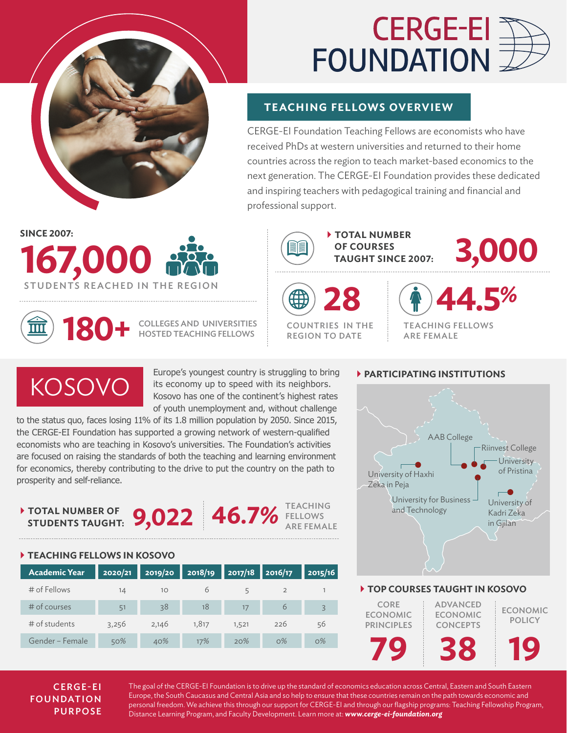

# **CERGE-EI FOUNDATION**

# **TEACHING FELLOWS OVERVIEW**

4**TOTAL NUMBER OF COURSES**

CERGE-EI Foundation Teaching Fellows are economists who have received PhDs at western universities and returned to their home countries across the region to teach market-based economics to the next generation. The CERGE-EI Foundation provides these dedicated and inspiring teachers with pedagogical training and financial and professional support.

**SINCE 2007: 67,00 STUDENTS REACHED IN THE RE** 



KOSOVO

**1800 + COLLEGES AND UNIVERSITIES** HOSTED TEACHING FELLOWS

to the status quo, faces losing 11% of its 1.8 million population by 2050. Since 2015, the CERGE-EI Foundation has supported a growing network of western-qualified economists who are teaching in Kosovo's universities. The Foundation's activities are focused on raising the standards of both the teaching and learning environment for economics, thereby contributing to the drive to put the country on the path to





REGION TO DATE





TEACHING FELLOWS ARE FEMALE

# 4**PARTICIPATING INSTITUTIONS**



#### 4**TOP COURSES TAUGHT IN KOSOVO**



## C ERG E-EI FOUNDATION PURPOSE

The goal of the CERGE-EI Foundation is to drive up the standard of economics education across Central, Eastern and South Eastern Europe, the South Caucasus and Central Asia and so help to ensure that these countries remain on the path towards economic and personal freedom. We achieve this through our support for CERGE-EI and through our flagship programs: Teaching Fellowship Program, Distance Learning Program, and Faculty Development. Learn more at: *[www.cerge-ei-foundation.org](http://www.cerge-ei-foundation.org)*

FELLOWS

4**TEACHING FELLOWS IN KOSOVO**

prosperity and self-reliance.

| <b>Academic Year</b> | 2020/21 | 2019/20 | 2018/19 | 2017/18 | 2016/17 | 2015/16        |
|----------------------|---------|---------|---------|---------|---------|----------------|
| $#$ of Fellows       | 14      | 10      | 6       |         | 2       |                |
| $#$ of courses       | 51      | 38      | 18      | 17      | 6       | $\overline{3}$ |
| # of students        | 3,256   | 2,146   | 1,817   | 1,521   | 226     | 56             |
| Gender - Female      | 50%     | 40%     | 17%     | 20%     | $O\%$   | $O\%$          |

4**TOTAL NUMBER OF STUDENTS TAUGHT: 9,022 46.7%** TEACHING ARE FEMALE

Europe's youngest country is struggling to bring its economy up to speed with its neighbors. Kosovo has one of the continent's highest rates of youth unemployment and, without challenge